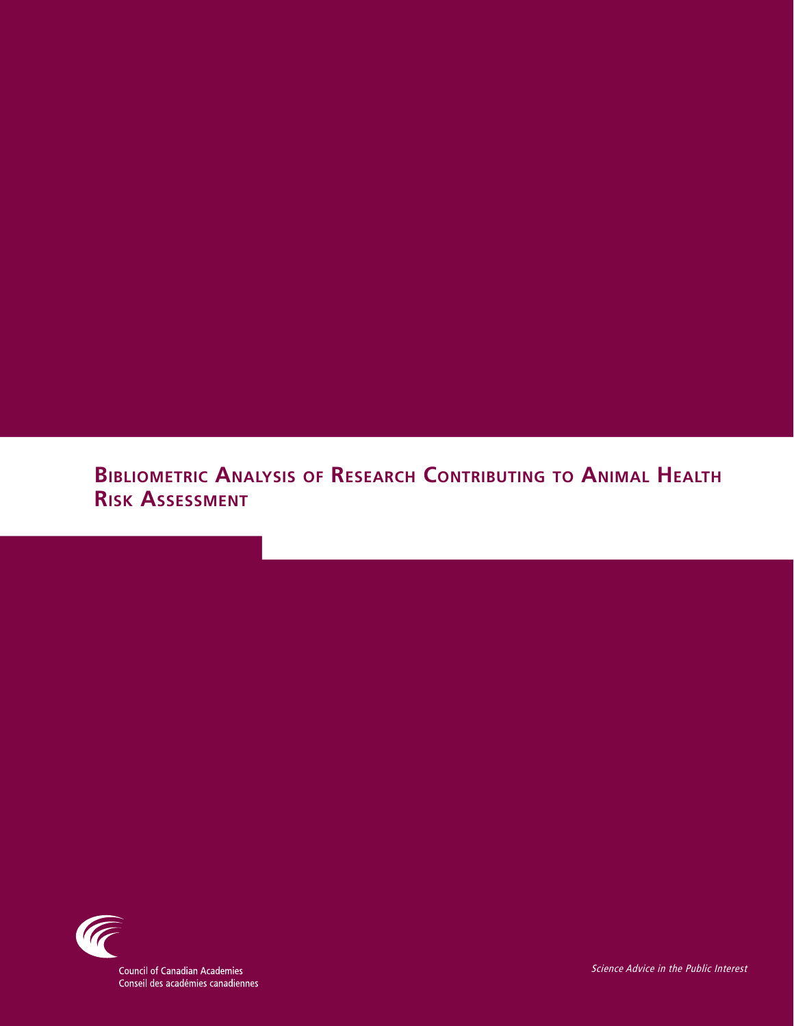**Bibliometric Analysis of Research Contributing to Animal Health Risk Assessment**



**Council of Canadian Academies** Conseil des académies canadiennes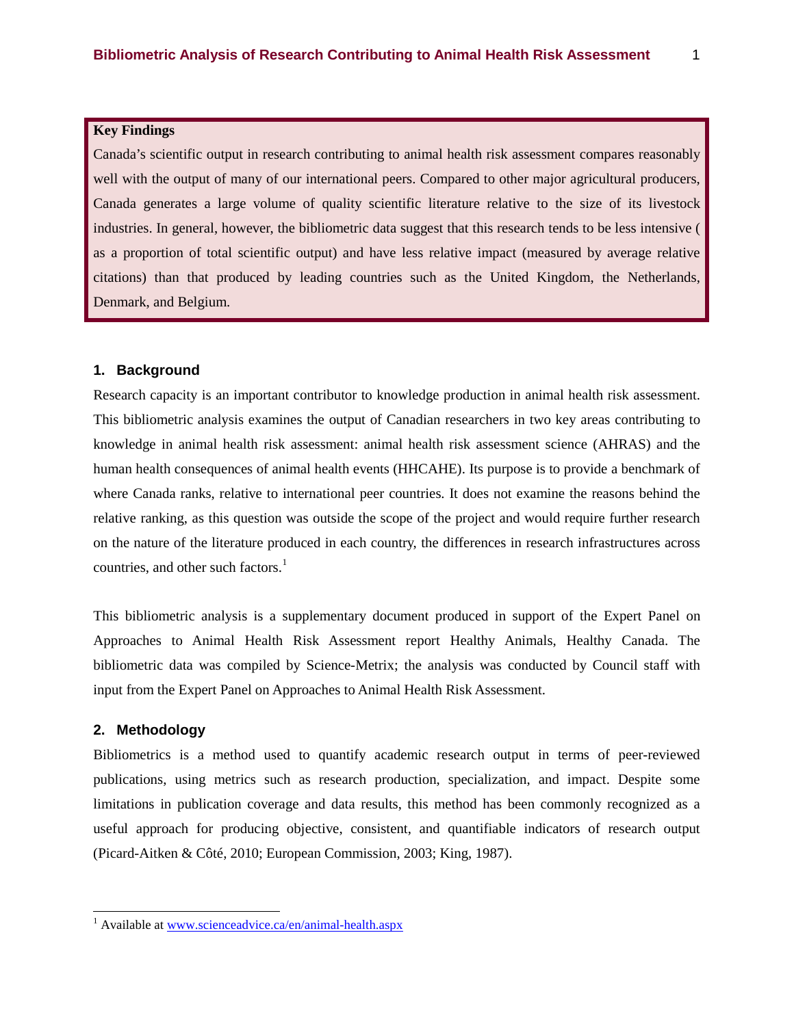### **Key Findings**

Canada's scientific output in research contributing to animal health risk assessment compares reasonably well with the output of many of our international peers. Compared to other major agricultural producers, Canada generates a large volume of quality scientific literature relative to the size of its livestock industries. In general, however, the bibliometric data suggest that this research tends to be less intensive ( as a proportion of total scientific output) and have less relative impact (measured by average relative citations) than that produced by leading countries such as the United Kingdom, the Netherlands, Denmark, and Belgium.

#### **1. Background**

Research capacity is an important contributor to knowledge production in animal health risk assessment. This bibliometric analysis examines the output of Canadian researchers in two key areas contributing to knowledge in animal health risk assessment: animal health risk assessment science (AHRAS) and the human health consequences of animal health events (HHCAHE). Its purpose is to provide a benchmark of where Canada ranks, relative to international peer countries. It does not examine the reasons behind the relative ranking, as this question was outside the scope of the project and would require further research on the nature of the literature produced in each country, the differences in research infrastructures across countries, and other such factors. $<sup>1</sup>$ </sup>

This bibliometric analysis is a supplementary document produced in support of the Expert Panel on Approaches to Animal Health Risk Assessment report Healthy Animals, Healthy Canada. The bibliometric data was compiled by Science-Metrix; the analysis was conducted by Council staff with input from the Expert Panel on Approaches to Animal Health Risk Assessment.

### **2. Methodology**

Bibliometrics is a method used to quantify academic research output in terms of peer-reviewed publications, using metrics such as research production, specialization, and impact. Despite some limitations in publication coverage and data results, this method has been commonly recognized as a useful approach for producing objective, consistent, and quantifiable indicators of research output (Picard-Aitken & Côté, 2010; European Commission, 2003; King, 1987).

<span id="page-1-0"></span><sup>&</sup>lt;sup>1</sup> Available at [www.scienceadvice.ca/en/animal-health.aspx](http://www.scienceadvice.ca/en/animal-health.aspx)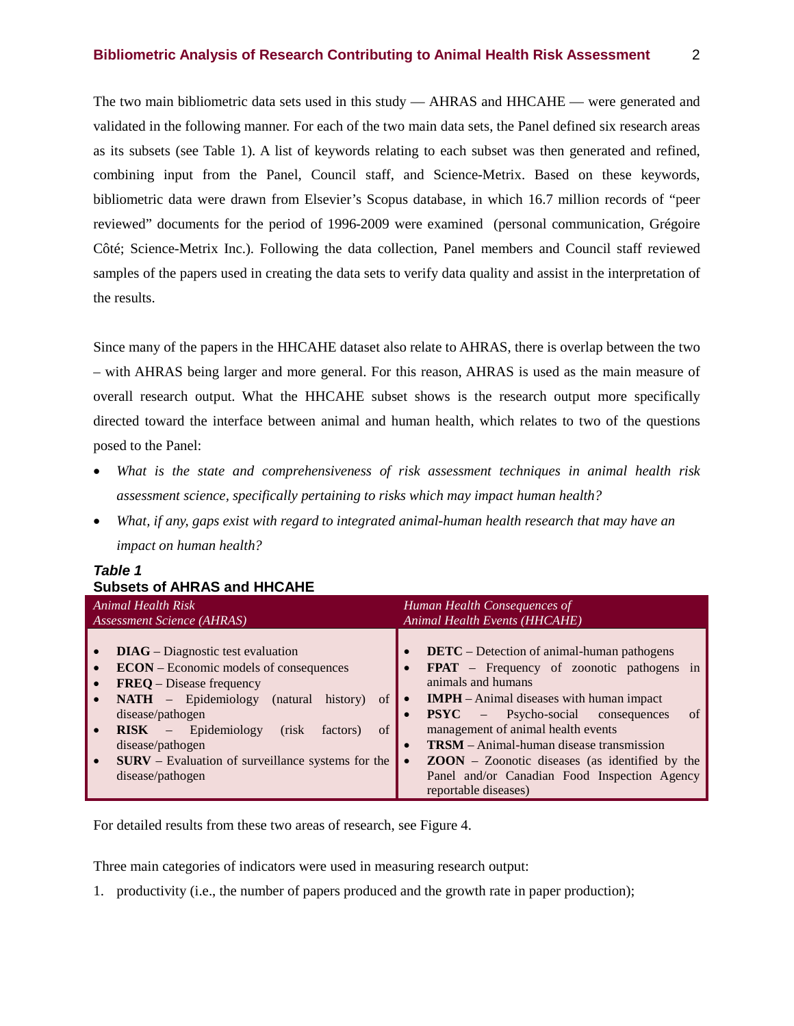#### **Bibliometric Analysis of Research Contributing to Animal Health Risk Assessment** 2

The two main bibliometric data sets used in this study — AHRAS and HHCAHE — were generated and validated in the following manner. For each of the two main data sets, the Panel defined six research areas as its subsets (see Table 1). A list of keywords relating to each subset was then generated and refined, combining input from the Panel, Council staff, and Science-Metrix. Based on these keywords, bibliometric data were drawn from Elsevier's Scopus database, in which 16.7 million records of "peer reviewed" documents for the period of 1996-2009 were examined (personal communication, Grégoire Côté; Science-Metrix Inc.). Following the data collection, Panel members and Council staff reviewed samples of the papers used in creating the data sets to verify data quality and assist in the interpretation of the results.

Since many of the papers in the HHCAHE dataset also relate to AHRAS, there is overlap between the two – with AHRAS being larger and more general. For this reason, AHRAS is used as the main measure of overall research output. What the HHCAHE subset shows is the research output more specifically directed toward the interface between animal and human health, which relates to two of the questions posed to the Panel:

- *What is the state and comprehensiveness of risk assessment techniques in animal health risk assessment science, specifically pertaining to risks which may impact human health?*
- *What, if any, gaps exist with regard to integrated animal-human health research that may have an impact on human health?*

| <b>Animal Health Risk</b><br>Assessment Science (AHRAS)                                                                                                                                                                                                                                                                                                                      | Human Health Consequences of<br>Animal Health Events (HHCAHE)                                                                                                                                                                                                                                                                                                                                                                                                            |  |  |  |  |
|------------------------------------------------------------------------------------------------------------------------------------------------------------------------------------------------------------------------------------------------------------------------------------------------------------------------------------------------------------------------------|--------------------------------------------------------------------------------------------------------------------------------------------------------------------------------------------------------------------------------------------------------------------------------------------------------------------------------------------------------------------------------------------------------------------------------------------------------------------------|--|--|--|--|
| <b>DIAG</b> – Diagnostic test evaluation<br><b>ECON</b> – Economic models of consequences<br><b>FREQ</b> – Disease frequency<br><b>NATH</b> – Epidemiology (natural history)<br>of<br>disease/pathogen<br>$RISK$ – Epidemiology<br>of<br>(risk)<br>factors)<br>disease/pathogen<br><b>SURV</b> – Evaluation of surveillance systems for the<br>$\bullet$<br>disease/pathogen | <b>DETC</b> – Detection of animal-human pathogens<br><b>FPAT</b> – Frequency of zoonotic pathogens in<br>animals and humans<br><b>IMPH</b> – Animal diseases with human impact<br>$\bullet$<br><b>PSYC</b> – Psycho-social consequences<br>$\alpha$<br>management of animal health events<br><b>TRSM</b> – Animal-human disease transmission<br>$ZOON - Zoonotic$ diseases (as identified by the<br>Panel and/or Canadian Food Inspection Agency<br>reportable diseases) |  |  |  |  |

# *Table 1* **Subsets of AHRAS and HHCAHE**

For detailed results from these two areas of research, see Figure 4.

Three main categories of indicators were used in measuring research output:

1. productivity (i.e., the number of papers produced and the growth rate in paper production);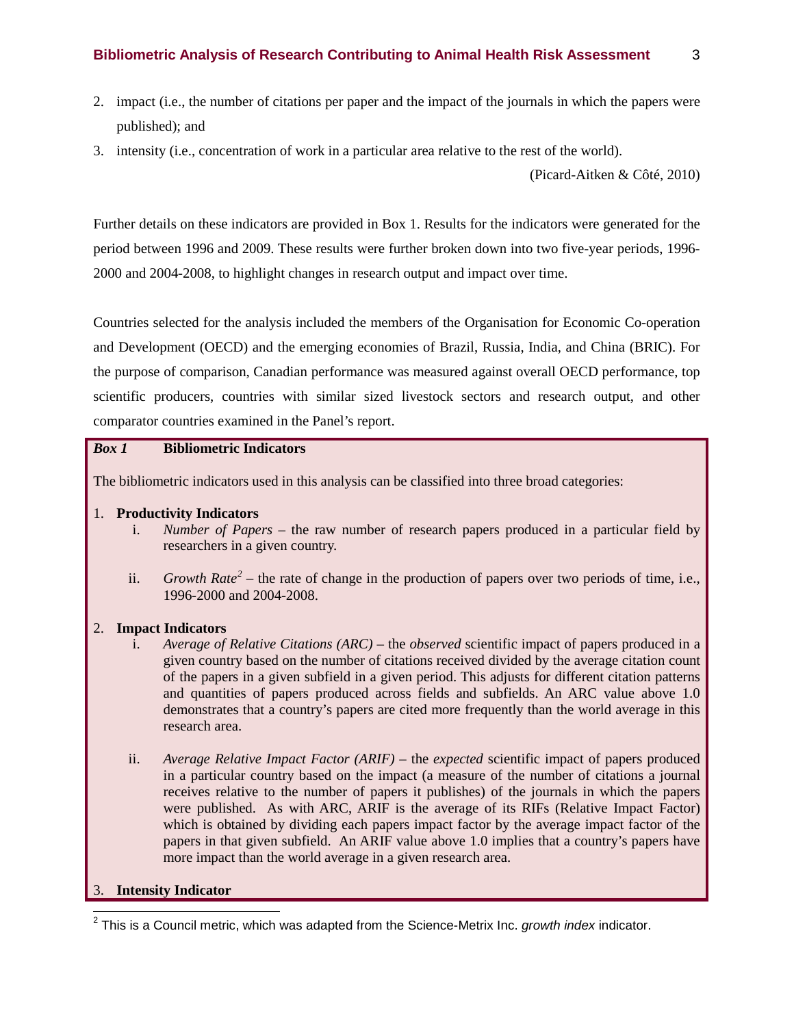- 2. impact (i.e., the number of citations per paper and the impact of the journals in which the papers were published); and
- 3. intensity (i.e., concentration of work in a particular area relative to the rest of the world).

(Picard-Aitken & Côté, 2010)

Further details on these indicators are provided in Box 1. Results for the indicators were generated for the period between 1996 and 2009. These results were further broken down into two five-year periods, 1996- 2000 and 2004-2008, to highlight changes in research output and impact over time.

Countries selected for the analysis included the members of the Organisation for Economic Co-operation and Development (OECD) and the emerging economies of Brazil, Russia, India, and China (BRIC). For the purpose of comparison, Canadian performance was measured against overall OECD performance, top scientific producers, countries with similar sized livestock sectors and research output, and other comparator countries examined in the Panel's report.

### *Box 1* **Bibliometric Indicators**

The bibliometric indicators used in this analysis can be classified into three broad categories:

- 1. **Productivity Indicators**
	- i. *Number of Papers* the raw number of research papers produced in a particular field by researchers in a given country.
	- ii. *Growth Rate[2](#page-1-0)* the rate of change in the production of papers over two periods of time, i.e., 1996-2000 and 2004-2008.

#### 2. **Impact Indicators**

- i. *Average of Relative Citations (ARC)* the *observed* scientific impact of papers produced in a given country based on the number of citations received divided by the average citation count of the papers in a given subfield in a given period. This adjusts for different citation patterns and quantities of papers produced across fields and subfields. An ARC value above 1.0 demonstrates that a country's papers are cited more frequently than the world average in this research area.
- ii. *Average Relative Impact Factor (ARIF)* the *expected* scientific impact of papers produced in a particular country based on the impact (a measure of the number of citations a journal receives relative to the number of papers it publishes) of the journals in which the papers were published. As with ARC, ARIF is the average of its RIFs (Relative Impact Factor) which is obtained by dividing each papers impact factor by the average impact factor of the papers in that given subfield. An ARIF value above 1.0 implies that a country's papers have more impact than the world average in a given research area.

#### <span id="page-3-0"></span>3. **Intensity Indicator**

 <sup>2</sup> This is a Council metric, which was adapted from the Science-Metrix Inc. *growth index* indicator.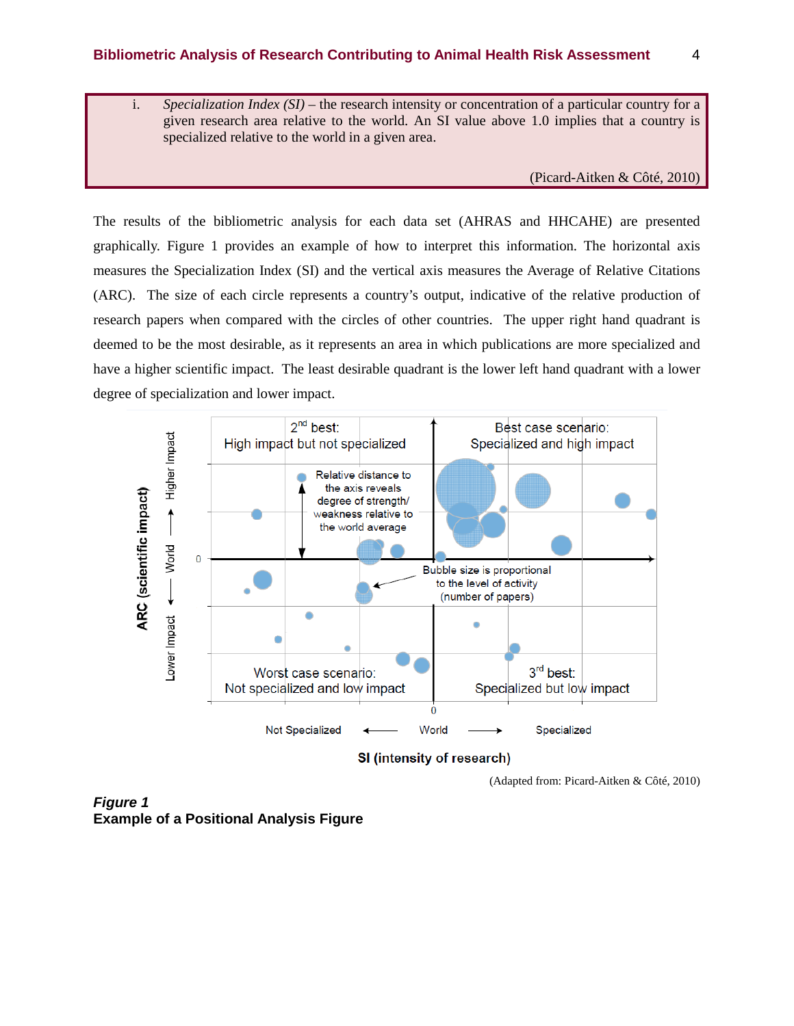i. *Specialization Index (SI)* – the research intensity or concentration of a particular country for a given research area relative to the world. An SI value above 1.0 implies that a country is specialized relative to the world in a given area.

(Picard-Aitken & Côté, 2010)

The results of the bibliometric analysis for each data set (AHRAS and HHCAHE) are presented graphically. Figure 1 provides an example of how to interpret this information. The horizontal axis measures the Specialization Index (SI) and the vertical axis measures the Average of Relative Citations (ARC). The size of each circle represents a country's output, indicative of the relative production of research papers when compared with the circles of other countries. The upper right hand quadrant is deemed to be the most desirable, as it represents an area in which publications are more specialized and have a higher scientific impact. The least desirable quadrant is the lower left hand quadrant with a lower degree of specialization and lower impact.



SI (intensity of research)

(Adapted from: Picard-Aitken & Côté, 2010)

*Figure 1* **Example of a Positional Analysis Figure**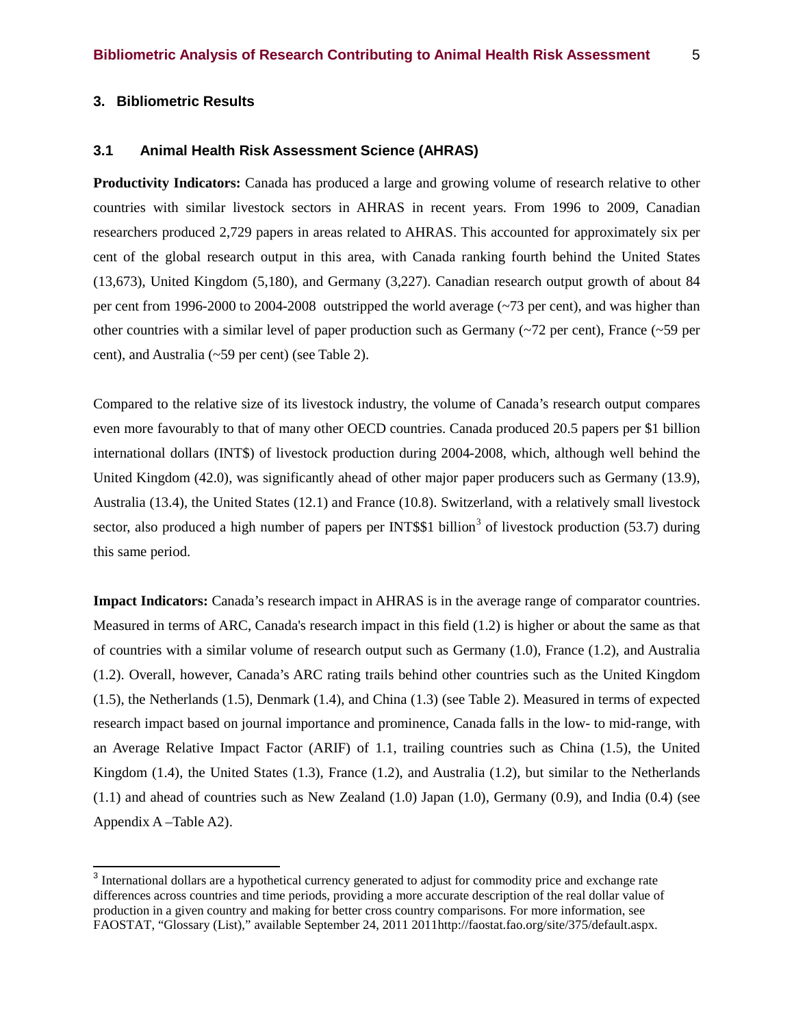### **3.1 Animal Health Risk Assessment Science (AHRAS)**

**Productivity Indicators:** Canada has produced a large and growing volume of research relative to other countries with similar livestock sectors in AHRAS in recent years. From 1996 to 2009, Canadian researchers produced 2,729 papers in areas related to AHRAS. This accounted for approximately six per cent of the global research output in this area, with Canada ranking fourth behind the United States (13,673), United Kingdom (5,180), and Germany (3,227). Canadian research output growth of about 84 per cent from 1996-2000 to 2004-2008 outstripped the world average (~73 per cent), and was higher than other countries with a similar level of paper production such as Germany ( $\sim$ 72 per cent), France ( $\sim$ 59 per cent), and Australia (~59 per cent) (see Table 2).

Compared to the relative size of its livestock industry, the volume of Canada's research output compares even more favourably to that of many other OECD countries. Canada produced 20.5 papers per \$1 billion international dollars (INT\$) of livestock production during 2004-2008, which, although well behind the United Kingdom (42.0), was significantly ahead of other major paper producers such as Germany (13.9), Australia (13.4), the United States (12.1) and France (10.8). Switzerland, with a relatively small livestock sector, also produced a high number of papers per INT\$\$1 billion<sup>[3](#page-3-0)</sup> of livestock production (53.7) during this same period.

**Impact Indicators:** Canada's research impact in AHRAS is in the average range of comparator countries. Measured in terms of ARC, Canada's research impact in this field (1.2) is higher or about the same as that of countries with a similar volume of research output such as Germany (1.0), France (1.2), and Australia (1.2). Overall, however, Canada's ARC rating trails behind other countries such as the United Kingdom (1.5), the Netherlands (1.5), Denmark (1.4), and China (1.3) (see Table 2). Measured in terms of expected research impact based on journal importance and prominence, Canada falls in the low- to mid-range, with an Average Relative Impact Factor (ARIF) of 1.1, trailing countries such as China (1.5), the United Kingdom (1.4), the United States (1.3), France (1.2), and Australia (1.2), but similar to the Netherlands (1.1) and ahead of countries such as New Zealand (1.0) Japan (1.0), Germany (0.9), and India (0.4) (see Appendix A –Table A2).

<sup>&</sup>lt;sup>3</sup> International dollars are a hypothetical currency generated to adjust for commodity price and exchange rate differences across countries and time periods, providing a more accurate description of the real dollar value of production in a given country and making for better cross country comparisons. For more information, see FAOSTAT, "Glossary (List)," available September 24, 2011 2011http://faostat.fao.org/site/375/default.aspx.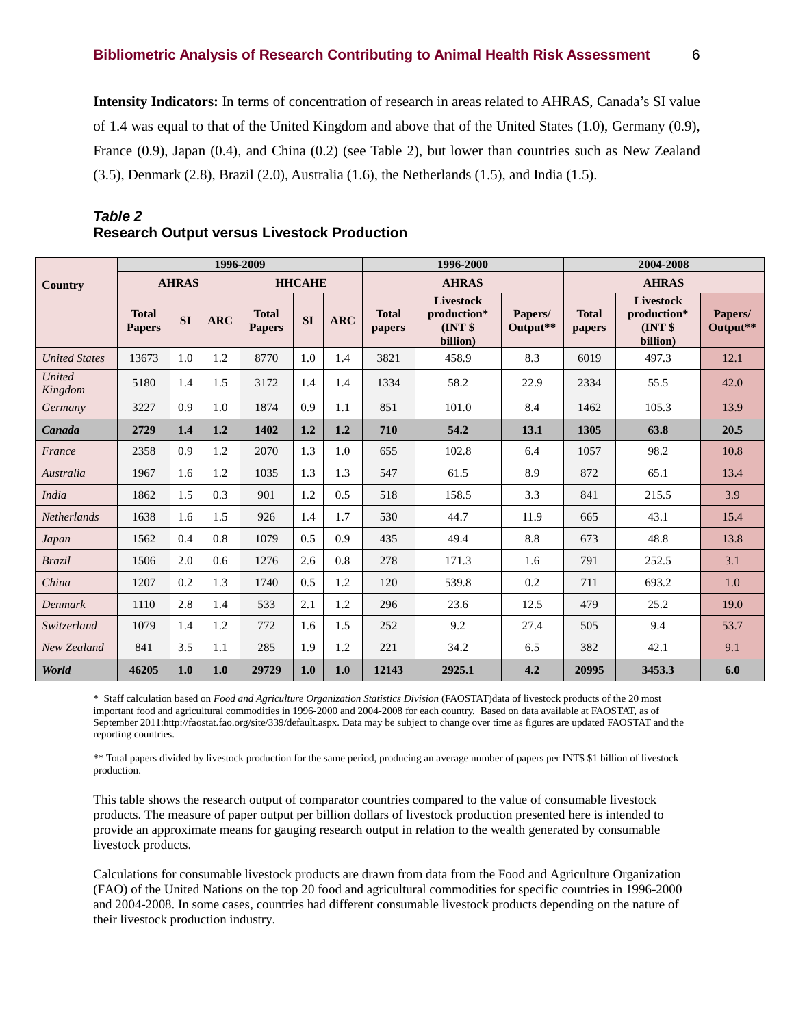**Intensity Indicators:** In terms of concentration of research in areas related to AHRAS, Canada's SI value of 1.4 was equal to that of the United Kingdom and above that of the United States (1.0), Germany (0.9), France (0.9), Japan (0.4), and China (0.2) (see Table 2), but lower than countries such as New Zealand (3.5), Denmark (2.8), Brazil (2.0), Australia (1.6), the Netherlands (1.5), and India (1.5).

|                          |                               |              | 1996-2009  |                               |               |            |                        | 1996-2000                                             |                     | 2004-2008              |                                                |                     |  |
|--------------------------|-------------------------------|--------------|------------|-------------------------------|---------------|------------|------------------------|-------------------------------------------------------|---------------------|------------------------|------------------------------------------------|---------------------|--|
| Country                  |                               | <b>AHRAS</b> |            |                               | <b>HHCAHE</b> |            |                        | <b>AHRAS</b>                                          |                     |                        | <b>AHRAS</b>                                   |                     |  |
|                          | <b>Total</b><br><b>Papers</b> | <b>SI</b>    | <b>ARC</b> | <b>Total</b><br><b>Papers</b> | <b>SI</b>     | <b>ARC</b> | <b>Total</b><br>papers | <b>Livestock</b><br>production*<br>INT \$<br>billion) | Papers/<br>Output** | <b>Total</b><br>papers | Livestock<br>production*<br>INT \$<br>billion) | Papers/<br>Output** |  |
| <b>United States</b>     | 13673                         | 1.0          | 1.2        | 8770                          | 1.0           | 1.4        | 3821                   | 458.9                                                 | 8.3                 | 6019                   | 497.3                                          | 12.1                |  |
| <b>United</b><br>Kingdom | 5180                          | 1.4          | 1.5        | 3172                          | 1.4           | 1.4        | 1334                   | 58.2                                                  | 22.9                | 2334                   | 55.5                                           | 42.0                |  |
| Germany                  | 3227                          | 0.9          | 1.0        | 1874                          | 0.9           | 1.1        | 851                    | 101.0                                                 | 8.4                 | 1462                   | 105.3                                          | 13.9                |  |
| Canada                   | 2729                          | 1.4          | 1.2        | 1402                          | 1.2           | 1.2        | 710                    | 54.2                                                  | 13.1                | 1305                   | 63.8                                           | 20.5                |  |
| France                   | 2358                          | 0.9          | 1.2        | 2070                          | 1.3           | 1.0        | 655                    | 102.8                                                 | 6.4                 | 1057                   | 98.2                                           | 10.8                |  |
| Australia                | 1967                          | 1.6          | 1.2        | 1035                          | 1.3           | 1.3        | 547                    | 61.5                                                  | 8.9                 | 872                    | 65.1                                           | 13.4                |  |
| <b>India</b>             | 1862                          | 1.5          | 0.3        | 901                           | 1.2           | 0.5        | 518                    | 158.5                                                 | 3.3                 | 841                    | 215.5                                          | 3.9                 |  |
| <b>Netherlands</b>       | 1638                          | 1.6          | 1.5        | 926                           | 1.4           | 1.7        | 530                    | 44.7                                                  | 11.9                | 665                    | 43.1                                           | 15.4                |  |
| Japan                    | 1562                          | 0.4          | 0.8        | 1079                          | 0.5           | 0.9        | 435                    | 49.4                                                  | 8.8                 | 673                    | 48.8                                           | 13.8                |  |
| <b>Brazil</b>            | 1506                          | 2.0          | 0.6        | 1276                          | 2.6           | 0.8        | 278                    | 171.3                                                 | 1.6                 | 791                    | 252.5                                          | 3.1                 |  |
| China                    | 1207                          | 0.2          | 1.3        | 1740                          | 0.5           | 1.2        | 120                    | 539.8                                                 | 0.2                 | 711                    | 693.2                                          | 1.0                 |  |
| Denmark                  | 1110                          | 2.8          | 1.4        | 533                           | 2.1           | 1.2        | 296                    | 23.6                                                  | 12.5                | 479                    | 25.2                                           | 19.0                |  |
| Switzerland              | 1079                          | 1.4          | 1.2        | 772                           | 1.6           | 1.5        | 252                    | 9.2                                                   | 27.4                | 505                    | 9.4                                            | 53.7                |  |
| New Zealand              | 841                           | 3.5          | 1.1        | 285                           | 1.9           | 1.2        | 221                    | 34.2                                                  | 6.5                 | 382                    | 42.1                                           | 9.1                 |  |
| World                    | 46205                         | 1.0          | 1.0        | 29729                         | 1.0           | 1.0        | 12143                  | 2925.1                                                | 4.2                 | 20995                  | 3453.3                                         | 6.0                 |  |

### *Table 2* **Research Output versus Livestock Production**

\* Staff calculation based on *Food and Agriculture Organization Statistics Division* (FAOSTAT)data of livestock products of the 20 most important food and agricultural commodities in 1996-2000 and 2004-2008 for each country. Based on data available at FAOSTAT, as of September 2011:http://faostat.fao.org/site/339/default.aspx. Data may be subject to change over time as figures are updated FAOSTAT and the reporting countries.

\*\* Total papers divided by livestock production for the same period, producing an average number of papers per INT\$ \$1 billion of livestock production.

This table shows the research output of comparator countries compared to the value of consumable livestock products. The measure of paper output per billion dollars of livestock production presented here is intended to provide an approximate means for gauging research output in relation to the wealth generated by consumable livestock products.

Calculations for consumable livestock products are drawn from data from the Food and Agriculture Organization (FAO) of the United Nations on the top 20 food and agricultural commodities for specific countries in 1996-2000 and 2004-2008. In some cases, countries had different consumable livestock products depending on the nature of their livestock production industry.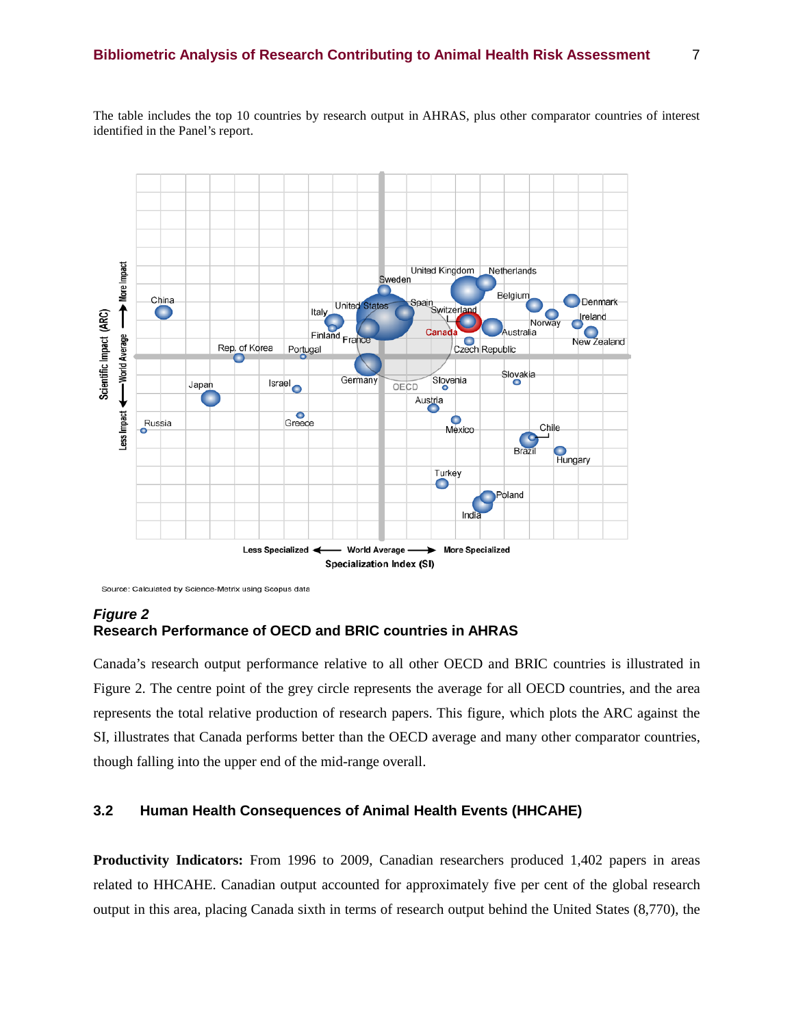Teaching A United Kingdom Netherlands Sweden Belgium China Denmark Spain<br>Switzerland **United States Sperme** Italy Scientific Impact (ARC) Norway New Zealand Finland France Australia Canada World Average Czech Republic Rep. of Korea Portugal Slovakia Slovenia Germany **Israel** Japan OECD Austria Less Impact Greece Mexico Russia Chile  $\mathbf{C}$ Hungary Brazi Turkey Ó Poland India - World Average -**More Specialized** Less Specialized ▸ Specialization Index (SI)

The table includes the top 10 countries by research output in AHRAS, plus other comparator countries of interest identified in the Panel's report.

Source: Calculated by Science-Metrix using Scopus data

### *Figure 2* **Research Performance of OECD and BRIC countries in AHRAS**

Canada's research output performance relative to all other OECD and BRIC countries is illustrated in Figure 2. The centre point of the grey circle represents the average for all OECD countries, and the area represents the total relative production of research papers. This figure, which plots the ARC against the SI, illustrates that Canada performs better than the OECD average and many other comparator countries, though falling into the upper end of the mid-range overall.

### **3.2 Human Health Consequences of Animal Health Events (HHCAHE)**

**Productivity Indicators:** From 1996 to 2009, Canadian researchers produced 1,402 papers in areas related to HHCAHE. Canadian output accounted for approximately five per cent of the global research output in this area, placing Canada sixth in terms of research output behind the United States (8,770), the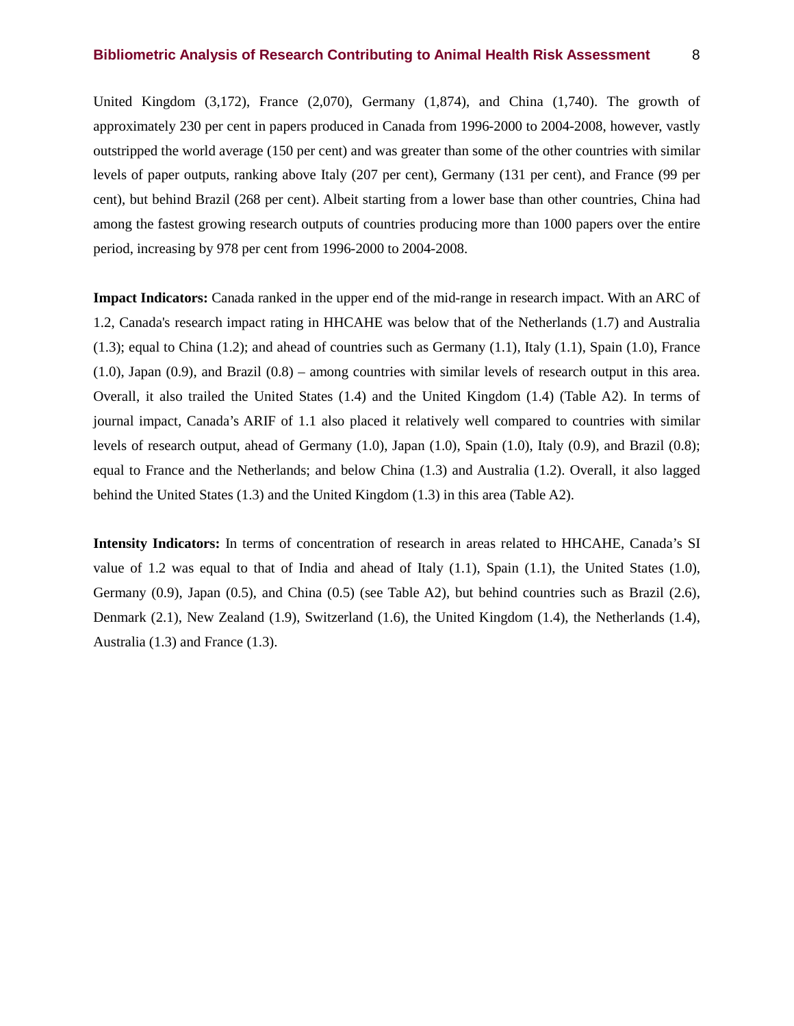United Kingdom  $(3.172)$ , France  $(2.070)$ , Germany  $(1.874)$ , and China  $(1.740)$ . The growth of approximately 230 per cent in papers produced in Canada from 1996-2000 to 2004-2008, however, vastly outstripped the world average (150 per cent) and was greater than some of the other countries with similar levels of paper outputs, ranking above Italy (207 per cent), Germany (131 per cent), and France (99 per cent), but behind Brazil (268 per cent). Albeit starting from a lower base than other countries, China had among the fastest growing research outputs of countries producing more than 1000 papers over the entire period, increasing by 978 per cent from 1996-2000 to 2004-2008.

**Impact Indicators:** Canada ranked in the upper end of the mid-range in research impact. With an ARC of 1.2, Canada's research impact rating in HHCAHE was below that of the Netherlands (1.7) and Australia  $(1.3)$ ; equal to China  $(1.2)$ ; and ahead of countries such as Germany  $(1.1)$ , Italy  $(1.1)$ , Spain  $(1.0)$ , France  $(1.0)$ , Japan  $(0.9)$ , and Brazil  $(0.8)$  – among countries with similar levels of research output in this area. Overall, it also trailed the United States (1.4) and the United Kingdom (1.4) (Table A2). In terms of journal impact, Canada's ARIF of 1.1 also placed it relatively well compared to countries with similar levels of research output, ahead of Germany (1.0), Japan (1.0), Spain (1.0), Italy (0.9), and Brazil (0.8); equal to France and the Netherlands; and below China (1.3) and Australia (1.2). Overall, it also lagged behind the United States (1.3) and the United Kingdom (1.3) in this area (Table A2).

**Intensity Indicators:** In terms of concentration of research in areas related to HHCAHE, Canada's SI value of 1.2 was equal to that of India and ahead of Italy  $(1.1)$ , Spain  $(1.1)$ , the United States  $(1.0)$ , Germany (0.9), Japan (0.5), and China (0.5) (see Table A2), but behind countries such as Brazil (2.6), Denmark (2.1), New Zealand (1.9), Switzerland (1.6), the United Kingdom (1.4), the Netherlands (1.4), Australia (1.3) and France (1.3).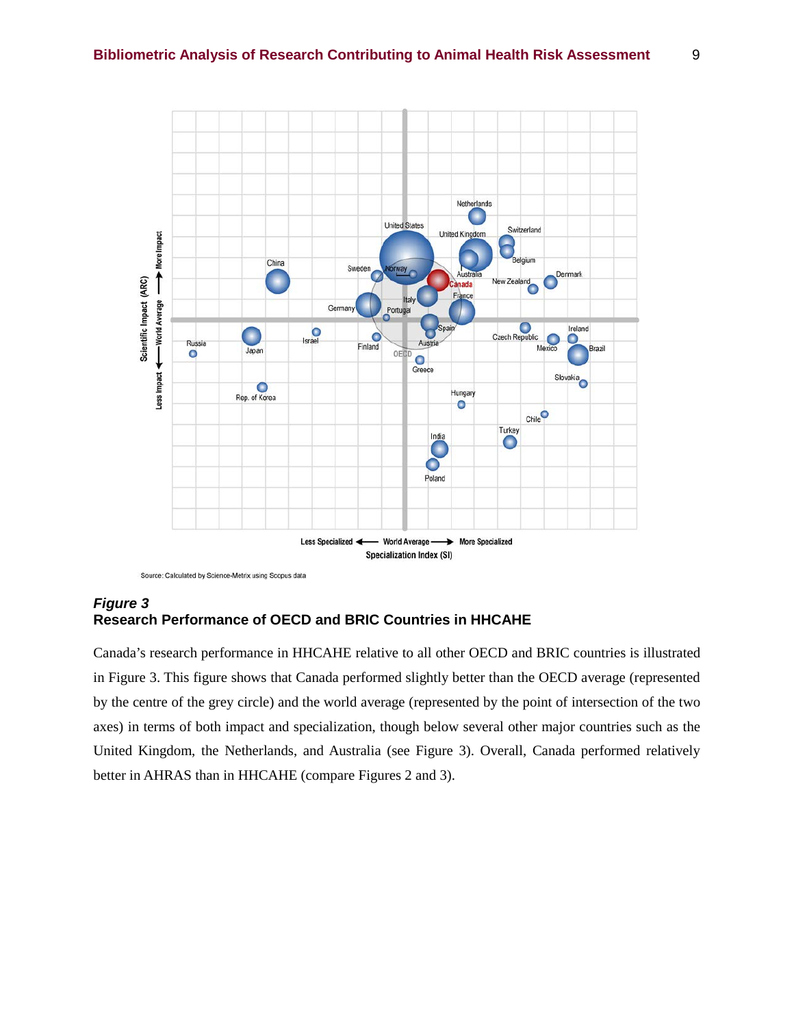

Source: Calculated by Science-Metrix using Scopus data

# *Figure 3* **Research Performance of OECD and BRIC Countries in HHCAHE**

Canada's research performance in HHCAHE relative to all other OECD and BRIC countries is illustrated in Figure 3. This figure shows that Canada performed slightly better than the OECD average (represented by the centre of the grey circle) and the world average (represented by the point of intersection of the two axes) in terms of both impact and specialization, though below several other major countries such as the United Kingdom, the Netherlands, and Australia (see Figure 3). Overall, Canada performed relatively better in AHRAS than in HHCAHE (compare Figures 2 and 3).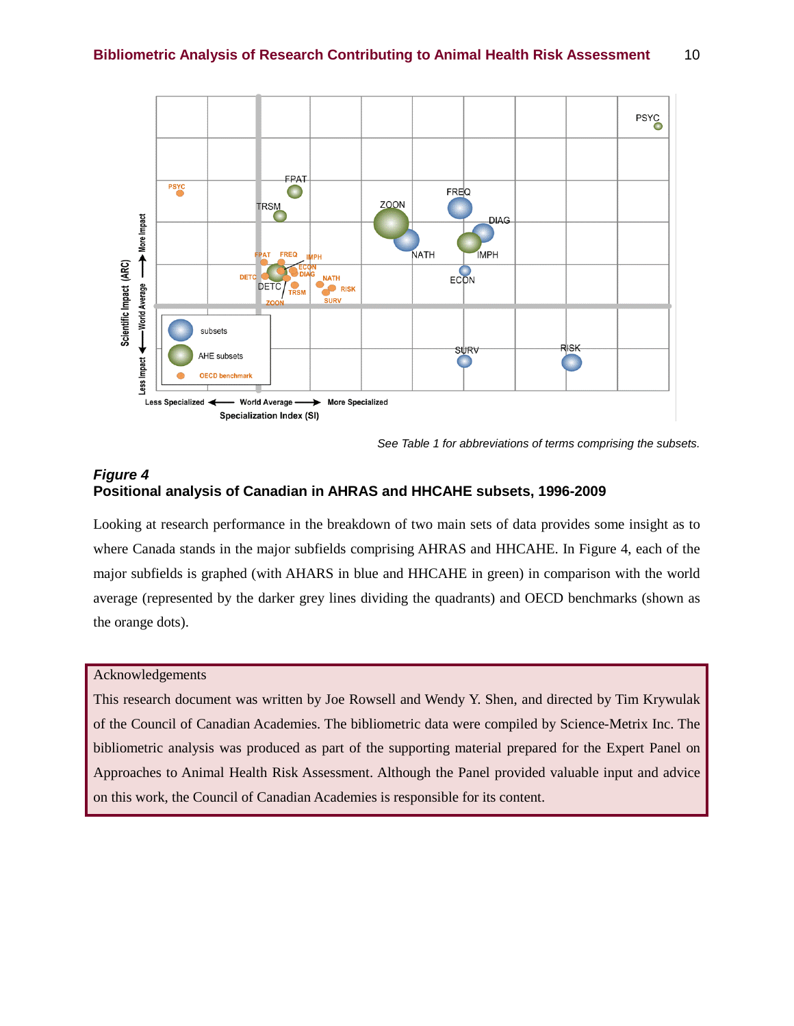

*See Table 1 for abbreviations of terms comprising the subsets.*

## *Figure 4* **Positional analysis of Canadian in AHRAS and HHCAHE subsets, 1996-2009**

Looking at research performance in the breakdown of two main sets of data provides some insight as to where Canada stands in the major subfields comprising AHRAS and HHCAHE. In Figure 4, each of the major subfields is graphed (with AHARS in blue and HHCAHE in green) in comparison with the world average (represented by the darker grey lines dividing the quadrants) and OECD benchmarks (shown as the orange dots).

#### Acknowledgements

This research document was written by Joe Rowsell and Wendy Y. Shen, and directed by Tim Krywulak of the Council of Canadian Academies. The bibliometric data were compiled by Science-Metrix Inc. The bibliometric analysis was produced as part of the supporting material prepared for the Expert Panel on Approaches to Animal Health Risk Assessment. Although the Panel provided valuable input and advice on this work, the Council of Canadian Academies is responsible for its content.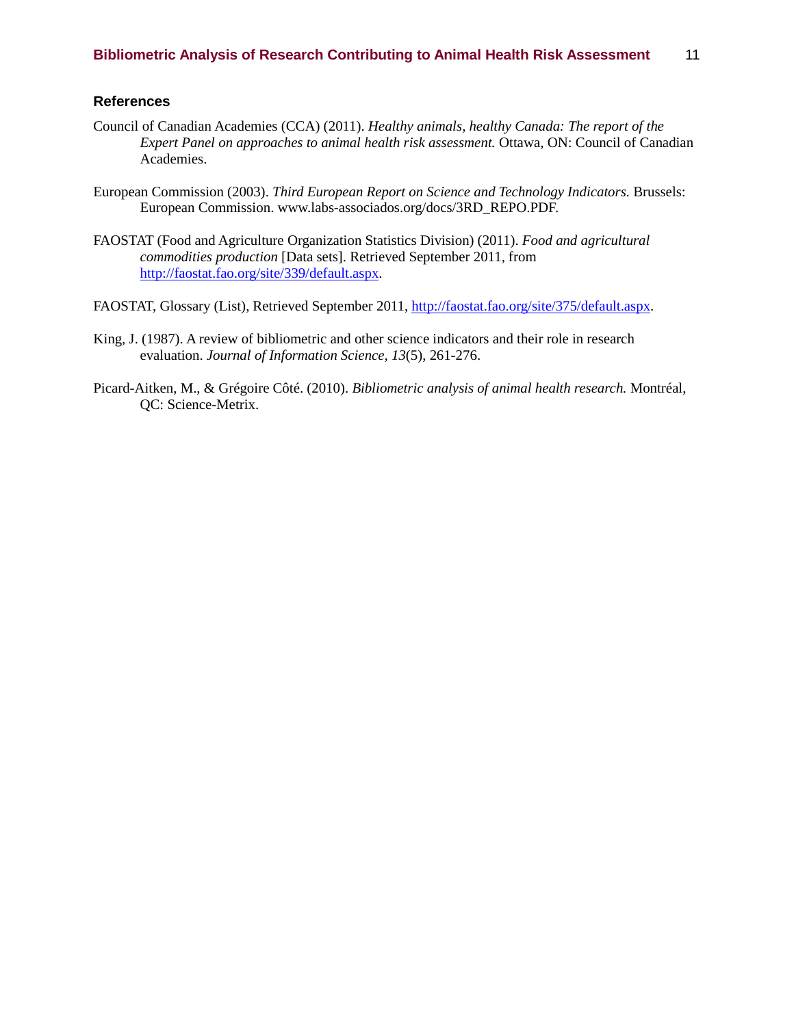### **References**

- Council of Canadian Academies (CCA) (2011). *Healthy animals, healthy Canada: The report of the Expert Panel on approaches to animal health risk assessment.* Ottawa, ON: Council of Canadian Academies.
- European Commission (2003). *Third European Report on Science and Technology Indicators.* Brussels: European Commission. www.labs-associados.org/docs/3RD\_REPO.PDF.
- FAOSTAT (Food and Agriculture Organization Statistics Division) (2011). *Food and agricultural commodities production* [Data sets]. Retrieved September 2011, from [http://faostat.fao.org/site/339/default.aspx.](http://faostat.fao.org/site/339/default.aspx)
- FAOSTAT, Glossary (List), Retrieved September 2011, [http://faostat.fao.org/site/375/default.aspx.](http://faostat.fao.org/site/375/default.aspx)
- King, J. (1987). A review of bibliometric and other science indicators and their role in research evaluation. *Journal of Information Science, 13*(5), 261-276.
- Picard-Aitken, M., & Grégoire Côté. (2010). *Bibliometric analysis of animal health research.* Montréal, QC: Science-Metrix.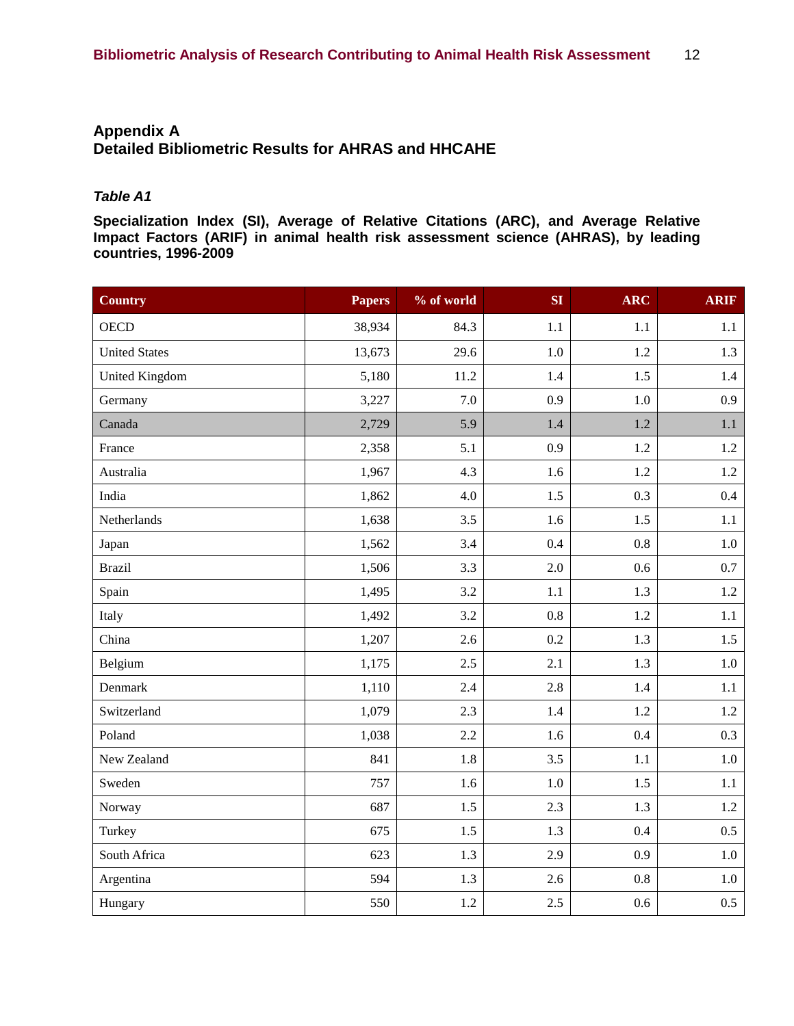# **Appendix A Detailed Bibliometric Results for AHRAS and HHCAHE**

### *Table A1*

**Specialization Index (SI), Average of Relative Citations (ARC), and Average Relative Impact Factors (ARIF) in animal health risk assessment science (AHRAS), by leading countries, 1996-2009**

| <b>Country</b>        | <b>Papers</b> | % of world | SI      | <b>ARC</b> | <b>ARIF</b> |
|-----------------------|---------------|------------|---------|------------|-------------|
| <b>OECD</b>           | 38,934        | 84.3       | 1.1     | $1.1\,$    | 1.1         |
| <b>United States</b>  | 13,673        | 29.6       | 1.0     | 1.2        | 1.3         |
| <b>United Kingdom</b> | 5,180         | 11.2       | 1.4     | 1.5        | 1.4         |
| Germany               | 3,227         | 7.0        | 0.9     | 1.0        | 0.9         |
| Canada                | 2,729         | 5.9        | 1.4     | 1.2        | 1.1         |
| France                | 2,358         | 5.1        | 0.9     | 1.2        | 1.2         |
| Australia             | 1,967         | 4.3        | 1.6     | 1.2        | 1.2         |
| India                 | 1,862         | 4.0        | 1.5     | 0.3        | $0.4\,$     |
| Netherlands           | 1,638         | 3.5        | 1.6     | 1.5        | 1.1         |
| Japan                 | 1,562         | 3.4        | 0.4     | 0.8        | $1.0\,$     |
| <b>Brazil</b>         | 1,506         | 3.3        | 2.0     | 0.6        | 0.7         |
| Spain                 | 1,495         | 3.2        | 1.1     | 1.3        | 1.2         |
| Italy                 | 1,492         | 3.2        | 0.8     | 1.2        | 1.1         |
| China                 | 1,207         | 2.6        | 0.2     | 1.3        | 1.5         |
| Belgium               | 1,175         | 2.5        | 2.1     | 1.3        | 1.0         |
| Denmark               | 1,110         | 2.4        | 2.8     | 1.4        | 1.1         |
| Switzerland           | 1,079         | 2.3        | 1.4     | 1.2        | 1.2         |
| Poland                | 1,038         | 2.2        | 1.6     | 0.4        | 0.3         |
| New Zealand           | 841           | 1.8        | 3.5     | 1.1        | 1.0         |
| Sweden                | 757           | 1.6        | $1.0\,$ | 1.5        | 1.1         |
| Norway                | 687           | 1.5        | 2.3     | 1.3        | 1.2         |
| Turkey                | 675           | 1.5        | 1.3     | 0.4        | 0.5         |
| South Africa          | 623           | 1.3        | 2.9     | 0.9        | 1.0         |
| Argentina             | 594           | 1.3        | 2.6     | $0.8\,$    | $1.0\,$     |
| Hungary               | 550           | 1.2        | 2.5     | 0.6        | 0.5         |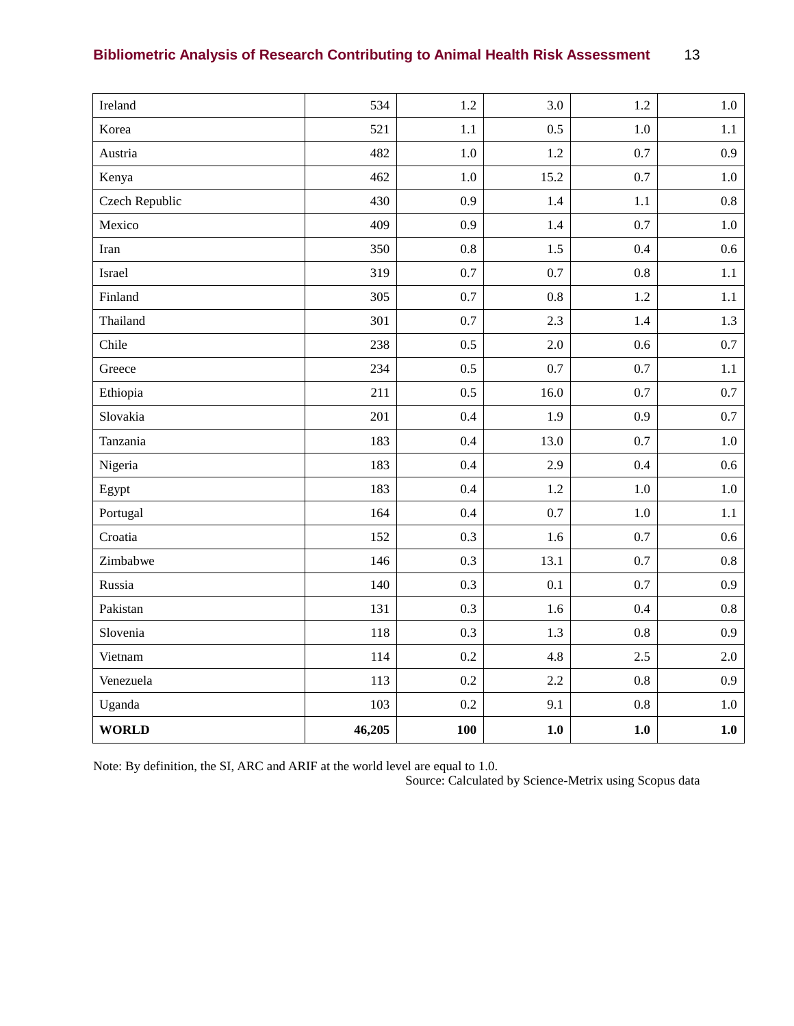| <b>Bibliometric Analysis of Research Contributing to Animal Health Risk Assessment</b> | 13 |
|----------------------------------------------------------------------------------------|----|
|----------------------------------------------------------------------------------------|----|

| Ireland        | 534    | 1.2     | 3.0     | 1.2     | $1.0\,$ |
|----------------|--------|---------|---------|---------|---------|
| Korea          | 521    | 1.1     | 0.5     | 1.0     | 1.1     |
| Austria        | 482    | $1.0\,$ | $1.2\,$ | 0.7     | 0.9     |
| Kenya          | 462    | $1.0\,$ | 15.2    | 0.7     | $1.0\,$ |
| Czech Republic | 430    | 0.9     | 1.4     | $1.1\,$ | $0.8\,$ |
| Mexico         | 409    | 0.9     | 1.4     | 0.7     | $1.0\,$ |
| Iran           | 350    | 0.8     | 1.5     | 0.4     | 0.6     |
| Israel         | 319    | 0.7     | 0.7     | $0.8\,$ | 1.1     |
| Finland        | 305    | 0.7     | 0.8     | 1.2     | 1.1     |
| Thailand       | 301    | 0.7     | 2.3     | 1.4     | 1.3     |
| Chile          | 238    | 0.5     | 2.0     | 0.6     | $0.7\,$ |
| Greece         | 234    | 0.5     | 0.7     | 0.7     | 1.1     |
| Ethiopia       | 211    | 0.5     | 16.0    | 0.7     | 0.7     |
| Slovakia       | 201    | 0.4     | 1.9     | 0.9     | 0.7     |
| Tanzania       | 183    | 0.4     | 13.0    | 0.7     | $1.0\,$ |
| Nigeria        | 183    | 0.4     | 2.9     | 0.4     | 0.6     |
| Egypt          | 183    | 0.4     | 1.2     | $1.0\,$ | $1.0\,$ |
| Portugal       | 164    | 0.4     | 0.7     | 1.0     | 1.1     |
| Croatia        | 152    | 0.3     | $1.6\,$ | 0.7     | 0.6     |
| Zimbabwe       | 146    | 0.3     | 13.1    | 0.7     | $0.8\,$ |
| Russia         | 140    | 0.3     | 0.1     | 0.7     | 0.9     |
| Pakistan       | 131    | 0.3     | 1.6     | 0.4     | 0.8     |
| Slovenia       | 118    | 0.3     | 1.3     | $0.8\,$ | 0.9     |
| Vietnam        | 114    | 0.2     | 4.8     | 2.5     | 2.0     |
| Venezuela      | 113    | 0.2     | 2.2     | 0.8     | 0.9     |
| Uganda         | 103    | 0.2     | 9.1     | $0.8\,$ | 1.0     |
| <b>WORLD</b>   | 46,205 | 100     | 1.0     | 1.0     | 1.0     |

Note: By definition, the SI, ARC and ARIF at the world level are equal to 1.0.

Source: Calculated by Science-Metrix using Scopus data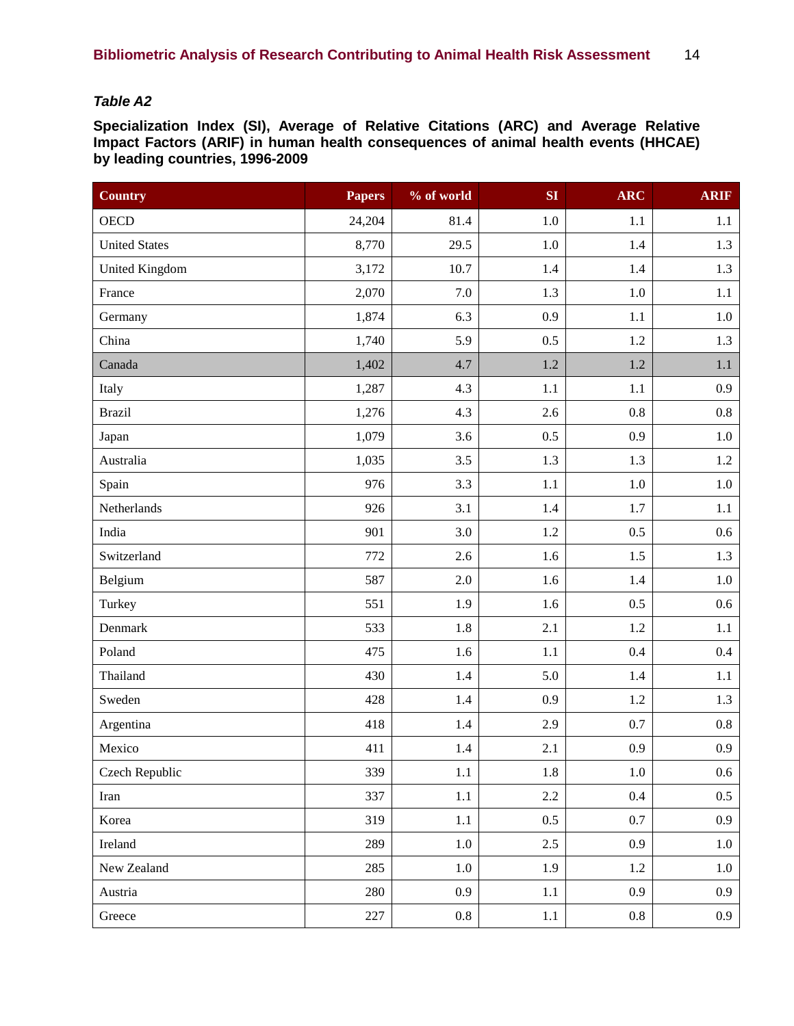# *Table A2*

**Specialization Index (SI), Average of Relative Citations (ARC) and Average Relative Impact Factors (ARIF) in human health consequences of animal health events (HHCAE) by leading countries, 1996-2009**

| <b>Country</b>        | <b>Papers</b> | % of world | SI      | <b>ARC</b> | <b>ARIF</b>      |
|-----------------------|---------------|------------|---------|------------|------------------|
| <b>OECD</b>           | 24,204        | 81.4       | $1.0\,$ | 1.1        | 1.1              |
| <b>United States</b>  | 8,770         | 29.5       | $1.0\,$ | 1.4        | 1.3              |
| <b>United Kingdom</b> | 3,172         | 10.7       | 1.4     | 1.4        | 1.3              |
| France                | 2,070         | $7.0\,$    | 1.3     | $1.0\,$    | 1.1              |
| Germany               | 1,874         | 6.3        | 0.9     | 1.1        | $1.0\,$          |
| China                 | 1,740         | 5.9        | 0.5     | 1.2        | 1.3              |
| Canada                | 1,402         | 4.7        | $1.2\,$ | $1.2\,$    | 1.1              |
| Italy                 | 1,287         | 4.3        | 1.1     | 1.1        | 0.9              |
| <b>Brazil</b>         | 1,276         | 4.3        | 2.6     | 0.8        | 0.8              |
| Japan                 | 1,079         | 3.6        | 0.5     | 0.9        | $1.0\,$          |
| Australia             | 1,035         | 3.5        | 1.3     | 1.3        | 1.2              |
| Spain                 | 976           | 3.3        | 1.1     | $1.0\,$    | $1.0\,$          |
| Netherlands           | 926           | 3.1        | 1.4     | 1.7        | 1.1              |
| India                 | 901           | 3.0        | $1.2\,$ | 0.5        | 0.6              |
| Switzerland           | 772           | 2.6        | 1.6     | 1.5        | 1.3              |
| Belgium               | 587           | 2.0        | 1.6     | 1.4        | $1.0\,$          |
| Turkey                | 551           | 1.9        | 1.6     | 0.5        | $0.6\,$          |
| Denmark               | 533           | 1.8        | 2.1     | $1.2\,$    | 1.1              |
| Poland                | 475           | 1.6        | 1.1     | 0.4        | $0.4\,$          |
| Thailand              | 430           | 1.4        | 5.0     | 1.4        | 1.1              |
| Sweden                | 428           | 1.4        | 0.9     | 1.2        | 1.3              |
| Argentina             | 418           | 1.4        | 2.9     | $0.7\,$    | 0.8              |
| Mexico                | 411           | 1.4        | 2.1     | 0.9        | 0.9              |
| Czech Republic        | 339           | 1.1        | 1.8     | 1.0        | $0.6\,$          |
| Iran                  | 337           | $1.1\,$    | 2.2     | 0.4        | $0.5\,$          |
| Korea                 | 319           | 1.1        | $0.5\,$ | $0.7\,$    | 0.9 <sub>0</sub> |
| Ireland               | 289           | $1.0\,$    | 2.5     | 0.9        | 1.0              |
| New Zealand           | 285           | 1.0        | 1.9     | 1.2        | $1.0\,$          |
| Austria               | 280           | 0.9        | 1.1     | 0.9        | 0.9              |
| Greece                | 227           | 0.8        | $1.1\,$ | $0.8\,$    | 0.9 <sub>0</sub> |